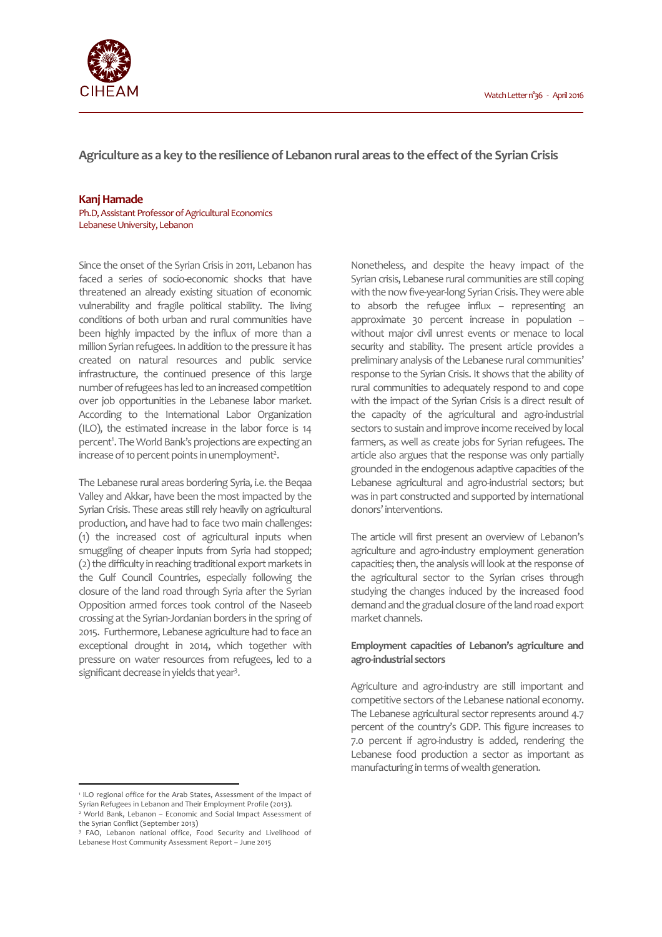

**Agriculture as a key to the resilience of Lebanon rural areas to the effect of the Syrian Crisis**

#### **Kanj Hamade**

Ph.D, Assistant Professor of Agricultural Economics Lebanese University, Lebanon

Since the onset of the Syrian Crisis in 2011, Lebanon has faced a series of socio-economic shocks that have threatened an already existing situation of economic vulnerability and fragile political stability. The living conditions of both urban and rural communities have been highly impacted by the influx of more than a million Syrian refugees. In addition to the pressure it has created on natural resources and public service infrastructure, the continued presence of this large number of refugees has led to an increased competition over job opportunities in the Lebanese labor market. According to the International Labor Organization (ILO), the estimated increase in the labor force is 14 percent<sup>1</sup>. The World Bank's projections are expecting an increase of 10 percent points in unemployment<sup>2</sup>.

The Lebanese rural areas bordering Syria, i.e. the Beqaa Valley and Akkar, have been the most impacted by the Syrian Crisis. These areas still rely heavily on agricultural production, and have had to face two main challenges: (1) the increased cost of agricultural inputs when smuggling of cheaper inputs from Syria had stopped; (2) the difficulty in reaching traditional export markets in the Gulf Council Countries, especially following the closure of the land road through Syria after the Syrian Opposition armed forces took control of the Naseeb crossing at the Syrian-Jordanian borders in the spring of 2015. Furthermore, Lebanese agriculture had to face an exceptional drought in 2014, which together with pressure on water resources from refugees, led to a significant decrease in yields that year<sup>3</sup>.

Nonetheless, and despite the heavy impact of the Syrian crisis, Lebanese rural communities are still coping with the now five-year-long Syrian Crisis. They were able to absorb the refugee influx – representing an approximate 30 percent increase in population – without major civil unrest events or menace to local security and stability. The present article provides a preliminary analysis of the Lebanese rural communities' response to the Syrian Crisis. It shows that the ability of rural communities to adequately respond to and cope with the impact of the Syrian Crisis is a direct result of the capacity of the agricultural and agro-industrial sectors to sustain and improve income received by local farmers, as well as create jobs for Syrian refugees. The article also argues that the response was only partially grounded in the endogenous adaptive capacities of the Lebanese agricultural and agro-industrial sectors; but was in part constructed and supported by international donors' interventions.

The article will first present an overview of Lebanon's agriculture and agro-industry employment generation capacities; then, the analysis will look at the response of the agricultural sector to the Syrian crises through studying the changes induced by the increased food demand and the gradual closure of the land road export market channels.

# **Employment capacities of Lebanon's agriculture and agro-industrial sectors**

Agriculture and agro-industry are still important and competitive sectors of the Lebanese national economy. The Lebanese agricultural sector represents around 4.7 percent of the country's GDP. This figure increases to 7.0 percent if agro-industry is added, rendering the Lebanese food production a sector as important as manufacturing in terms of wealth generation.

 $\overline{a}$ 

<sup>&</sup>lt;sup>1</sup> ILO regional office for the Arab States, Assessment of the Impact of Syrian Refugees in Lebanon and Their Employment Profile (2013). 2 World Bank, Lebanon – Economic and Social Impact Assessment of

the Syrian Conflict (September 2013)

<sup>&</sup>lt;sup>3</sup> FAO, Lebanon national office, Food Security and Livelihood of Lebanese Host Community Assessment Report – June 2015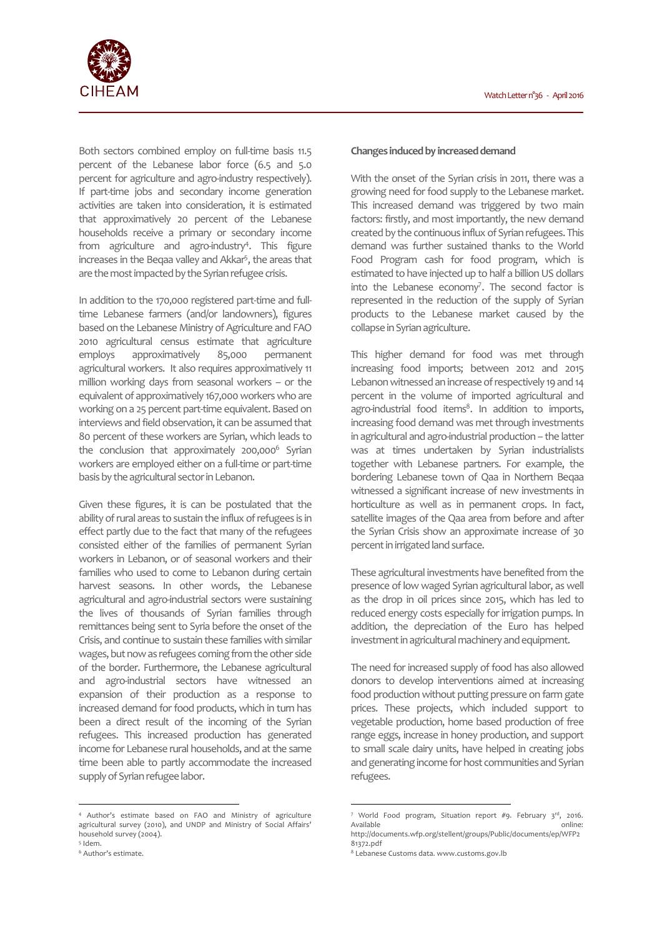

Both sectors combined employ on full-time basis 11.5 percent of the Lebanese labor force (6.5 and 5.0 percent for agriculture and agro-industry respectively). If part-time jobs and secondary income generation activities are taken into consideration, it is estimated that approximatively 20 percent of the Lebanese households receive a primary or secondary income from agriculture and agro-industry<sup>4</sup>. This figure increases in the Beqaa valley and Akkar<sup>5</sup>, the areas that are the most impacted by the Syrian refugee crisis.

In addition to the 170,000 registered part-time and fulltime Lebanese farmers (and/or landowners), figures based on the Lebanese Ministry of Agriculture and FAO 2010 agricultural census estimate that agriculture employs approximatively 85,000 permanent agricultural workers. It also requires approximatively 11 million working days from seasonal workers – or the equivalent of approximatively 167,000 workers who are working on a 25 percent part-time equivalent. Based on interviews and field observation, it can be assumed that 80 percent of these workers are Syrian, which leads to the conclusion that approximately 200,000<sup>6</sup> Syrian workers are employed either on a full-time or part-time basis by the agricultural sector in Lebanon.

Given these figures, it is can be postulated that the ability of rural areas to sustain the influx of refugees is in effect partly due to the fact that many of the refugees consisted either of the families of permanent Syrian workers in Lebanon, or of seasonal workers and their families who used to come to Lebanon during certain harvest seasons. In other words, the Lebanese agricultural and agro-industrial sectors were sustaining the lives of thousands of Syrian families through remittances being sent to Syria before the onset of the Crisis, and continue to sustain these families with similar wages, but now as refugees coming from the other side of the border. Furthermore, the Lebanese agricultural and agro-industrial sectors have witnessed an expansion of their production as a response to increased demand for food products, which in turn has been a direct result of the incoming of the Syrian refugees. This increased production has generated income for Lebanese rural households, and at the same time been able to partly accommodate the increased supply of Syrian refugee labor.

l

#### **Changes induced by increased demand**

With the onset of the Syrian crisis in 2011, there was a growing need for food supply to the Lebanese market. This increased demand was triggered by two main factors: firstly, and most importantly, the new demand created by the continuous influx of Syrian refugees. This demand was further sustained thanks to the World Food Program cash for food program, which is estimated to have injected up to half a billion US dollars into the Lebanese economy<sup>7</sup>. The second factor is represented in the reduction of the supply of Syrian products to the Lebanese market caused by the collapse in Syrian agriculture.

This higher demand for food was met through increasing food imports; between 2012 and 2015 Lebanon witnessed an increase of respectively 19 and 14 percent in the volume of imported agricultural and agro-industrial food items<sup>8</sup>. In addition to imports, increasing food demand was met through investments in agricultural and agro-industrial production – the latter was at times undertaken by Syrian industrialists together with Lebanese partners. For example, the bordering Lebanese town of Qaa in Northern Beqaa witnessed a significant increase of new investments in horticulture as well as in permanent crops. In fact, satellite images of the Qaa area from before and after the Syrian Crisis show an approximate increase of 30 percent in irrigated land surface.

These agricultural investments have benefited from the presence of low waged Syrian agricultural labor, as well as the drop in oil prices since 2015, which has led to reduced energy costs especially for irrigation pumps. In addition, the depreciation of the Euro has helped investment in agricultural machinery and equipment.

The need for increased supply of food has also allowed donors to develop interventions aimed at increasing food production without putting pressure on farm gate prices. These projects, which included support to vegetable production, home based production of free range eggs, increase in honey production, and support to small scale dairy units, have helped in creating jobs and generating income for host communities and Syrian refugees.

 $\overline{a}$ 

<sup>4</sup> Author's estimate based on FAO and Ministry of agriculture agricultural survey (2010), and UNDP and Ministry of Social Affairs' household survey (2004).

<sup>5</sup> Idem. 6 Author's estimate.

<sup>7</sup> World Food program, Situation report #9. February 3rd, 2016. Available **and a structure online:** http://documents.wfp.org/stellent/groups/Public/documents/ep/WFP2

<sup>81372.</sup>pdf

<sup>8</sup> Lebanese Customs data. www.customs.gov.lb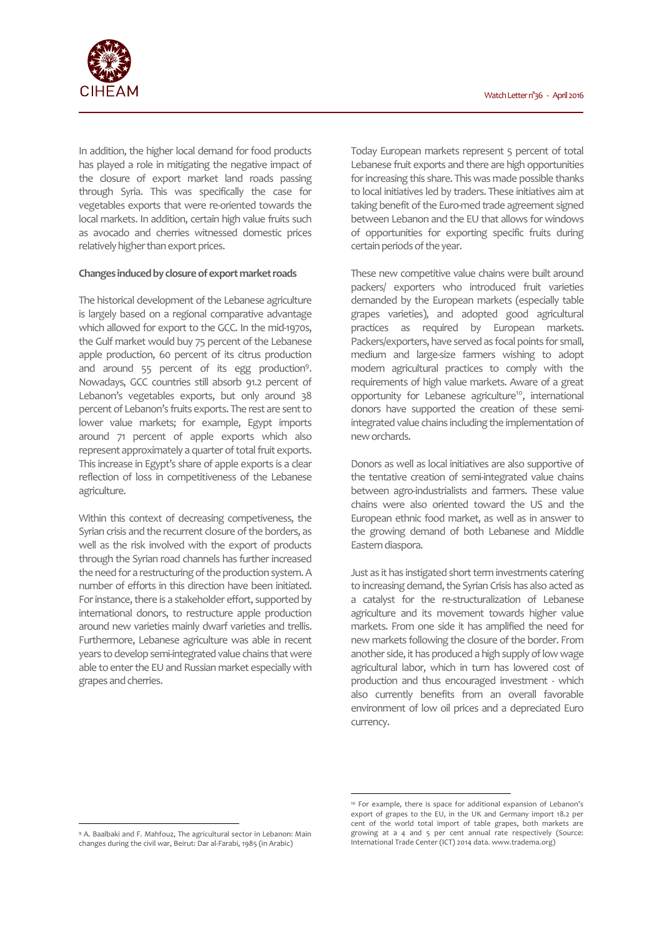

In addition, the higher local demand for food products has played a role in mitigating the negative impact of the closure of export market land roads passing through Syria. This was specifically the case for vegetables exports that were re-oriented towards the local markets. In addition, certain high value fruits such as avocado and cherries witnessed domestic prices relatively higher than export prices.

## **Changes induced by closure of export market roads**

The historical development of the Lebanese agriculture is largely based on a regional comparative advantage which allowed for export to the GCC. In the mid-1970s, the Gulf market would buy 75 percent of the Lebanese apple production, 60 percent of its citrus production and around 55 percent of its egg production<sup>9</sup>. Nowadays, GCC countries still absorb 91.2 percent of Lebanon's vegetables exports, but only around 38 percent of Lebanon's fruits exports. The rest are sent to lower value markets; for example, Egypt imports around 71 percent of apple exports which also represent approximately a quarter of total fruit exports. This increase in Egypt's share of apple exports is a clear reflection of loss in competitiveness of the Lebanese agriculture.

Within this context of decreasing competiveness, the Syrian crisis and the recurrent closure of the borders, as well as the risk involved with the export of products through the Syrian road channels has further increased the need for a restructuring of the production system. A number of efforts in this direction have been initiated. For instance, there is a stakeholder effort, supported by international donors, to restructure apple production around new varieties mainly dwarf varieties and trellis. Furthermore, Lebanese agriculture was able in recent years to develop semi-integrated value chains that were able to enter the EU and Russian market especially with grapes and cherries.

Today European markets represent 5 percent of total Lebanese fruit exports and there are high opportunities for increasing this share. This was made possible thanks to local initiatives led by traders. These initiatives aim at taking benefit of the Euro-med trade agreement signed between Lebanon and the EU that allows for windows of opportunities for exporting specific fruits during certain periods of the year.

These new competitive value chains were built around packers/ exporters who introduced fruit varieties demanded by the European markets (especially table grapes varieties), and adopted good agricultural practices as required by European markets. Packers/exporters, have served as focal points for small, medium and large-size farmers wishing to adopt modern agricultural practices to comply with the requirements of high value markets. Aware of a great opportunity for Lebanese agriculture<sup>10</sup>, international donors have supported the creation of these semiintegrated value chains including the implementation of new orchards.

Donors as well as local initiatives are also supportive of the tentative creation of semi-integrated value chains between agro-industrialists and farmers. These value chains were also oriented toward the US and the European ethnic food market, as well as in answer to the growing demand of both Lebanese and Middle Eastern diaspora.

Just as it has instigated short term investments catering to increasing demand, the Syrian Crisis has also acted as a catalyst for the re-structuralization of Lebanese agriculture and its movement towards higher value markets. From one side it has amplified the need for new markets following the closure of the border. From another side, it has produced a high supply of low wage agricultural labor, which in turn has lowered cost of production and thus encouraged investment - which also currently benefits from an overall favorable environment of low oil prices and a depreciated Euro currency.

 $\overline{a}$ 

l

<sup>10</sup> For example, there is space for additional expansion of Lebanon's export of grapes to the EU, in the UK and Germany import 18.2 per cent of the world total import of table grapes, both markets are growing at a 4 and 5 per cent annual rate respectively (Source: International Trade Center (ICT) 2014 data. www.tradema.org)

<sup>9</sup> A. Baalbaki and F. Mahfouz, The agricultural sector in Lebanon: Main changes during the civil war, Beirut: Dar al-Farabi, 1985 (in Arabic)